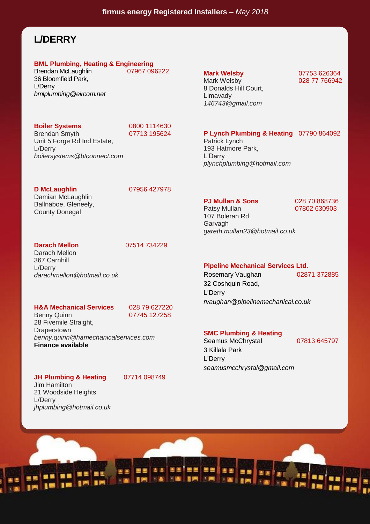## **L/DERRY**

# **BML Plumbing, Heating & Engineering**

Brendan McLaughlin 36 Bloomfield Park, L/Derry *bmlplumbing@eircom.net*

**Boiler Systems** 0800 1114630<br>Brendan Smyth 07713 195624

Brendan Smyth Unit 5 Forge Rd Ind Estate, L/Derry *boilersystems@btconnect.com*

**D McLaughlin** 07956 427978

Damian McLaughlin Ballnaboe, Gleneely, County Donegal

**Darach Mellon** 07514 734229

Darach Mellon 367 Carnhill L/Derry *darachmellon@hotmail.co.uk*

### **H&A Mechanical Services** 028 79 627220

Benny Quinn 07745 127258

28 Fivemile Straight, **Draperstown** *benny.quinn@hamechanicalservices.com* **Finance available**

### **JH Plumbing & Heating 07714 098749**

*jhplumbing@hotmail.co.uk*

L/Derry

Jim Hamilton 21 Woodside Heights

8 Donalds Hill Court, Limavady *146743@gmail.com*

### **Mark Welsby** 07753 626364 028 77 766942

### **P Lynch Plumbing & Heating** 07790 864092

Patrick Lynch 193 Hatmore Park, L'Derry *plynchplumbing@hotmail.com*

**PJ Mullan & Sons** 028 70 868736<br>
Patsy Mullan 07802 630903 07802 630903

107 Boleran Rd, **Garvagh** *gareth.mullan23@hotmail.co.uk*

#### **Pipeline Mechanical Services Ltd.**

Rosemary Vaughan 02871 372885 32 Coshquin Road, L'Derry *rvaughan@pipelinemechanical.co.uk*

### **SMC Plumbing & Heating**

Seamus McChrystal 07813 645797 3 Killala Park L'Derry *seamusmcchrystal@gmail.com*